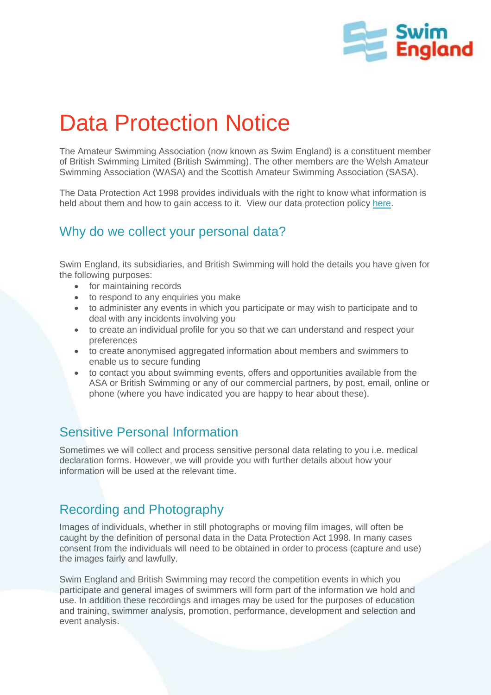

# Data Protection Notice

The Amateur Swimming Association (now known as Swim England) is a constituent member of British Swimming Limited (British Swimming). The other members are the Welsh Amateur Swimming Association (WASA) and the Scottish Amateur Swimming Association (SASA).

The Data Protection Act 1998 provides individuals with the right to know what information is held about them and how to gain access to it. View our data protection policy [here.](http://www.swimming.org/library/documents/147/download)

## Why do we collect your personal data?

Swim England, its subsidiaries, and British Swimming will hold the details you have given for the following purposes:

- for maintaining records
- to respond to any enquiries you make
- to administer any events in which you participate or may wish to participate and to deal with any incidents involving you
- to create an individual profile for you so that we can understand and respect your preferences
- to create anonymised aggregated information about members and swimmers to enable us to secure funding
- to contact you about swimming events, offers and opportunities available from the ASA or British Swimming or any of our commercial partners, by post, email, online or phone (where you have indicated you are happy to hear about these).

## Sensitive Personal Information

Sometimes we will collect and process sensitive personal data relating to you i.e. medical declaration forms. However, we will provide you with further details about how your information will be used at the relevant time.

# Recording and Photography

Images of individuals, whether in still photographs or moving film images, will often be caught by the definition of personal data in the Data Protection Act 1998. In many cases consent from the individuals will need to be obtained in order to process (capture and use) the images fairly and lawfully.

Swim England and British Swimming may record the competition events in which you participate and general images of swimmers will form part of the information we hold and use. In addition these recordings and images may be used for the purposes of education and training, swimmer analysis, promotion, performance, development and selection and event analysis.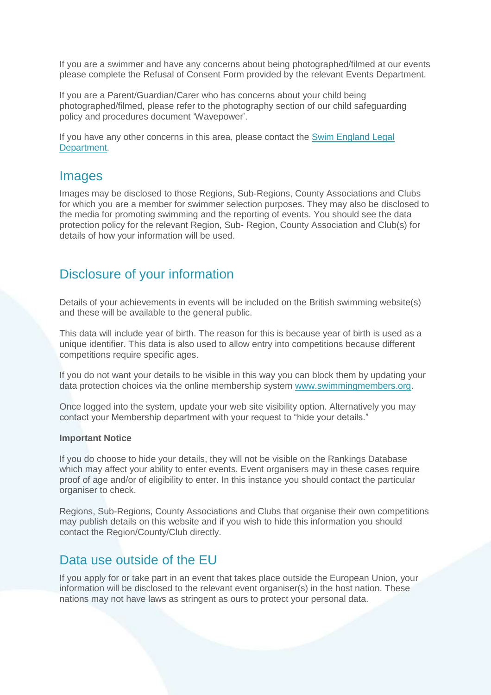If you are a swimmer and have any concerns about being photographed/filmed at our events please complete the Refusal of Consent Form provided by the relevant Events Department.

If you are a Parent/Guardian/Carer who has concerns about your child being photographed/filmed, please refer to the photography section of our child safeguarding policy and procedures document 'Wavepower'.

If you have any other concerns in this area, please contact the **Swim England Legal** [Department.](mailto:legal@swimming.org)

### Images

Images may be disclosed to those Regions, Sub-Regions, County Associations and Clubs for which you are a member for swimmer selection purposes. They may also be disclosed to the media for promoting swimming and the reporting of events. You should see the data protection policy for the relevant Region, Sub- Region, County Association and Club(s) for details of how your information will be used.

## Disclosure of your information

Details of your achievements in events will be included on the British swimming website(s) and these will be available to the general public.

This data will include year of birth. The reason for this is because year of birth is used as a unique identifier. This data is also used to allow entry into competitions because different competitions require specific ages.

If you do not want your details to be visible in this way you can block them by updating your data protection choices via the online membership system [www.swimmingmembers.org.](http://www.swimmingmembers.org/)

Once logged into the system, update your web site visibility option. Alternatively you may contact your Membership department with your request to "hide your details."

#### **Important Notice**

If you do choose to hide your details, they will not be visible on the Rankings Database which may affect your ability to enter events. Event organisers may in these cases require proof of age and/or of eligibility to enter. In this instance you should contact the particular organiser to check.

Regions, Sub-Regions, County Associations and Clubs that organise their own competitions may publish details on this website and if you wish to hide this information you should contact the Region/County/Club directly.

## Data use outside of the EU

If you apply for or take part in an event that takes place outside the European Union, your information will be disclosed to the relevant event organiser(s) in the host nation. These nations may not have laws as stringent as ours to protect your personal data.